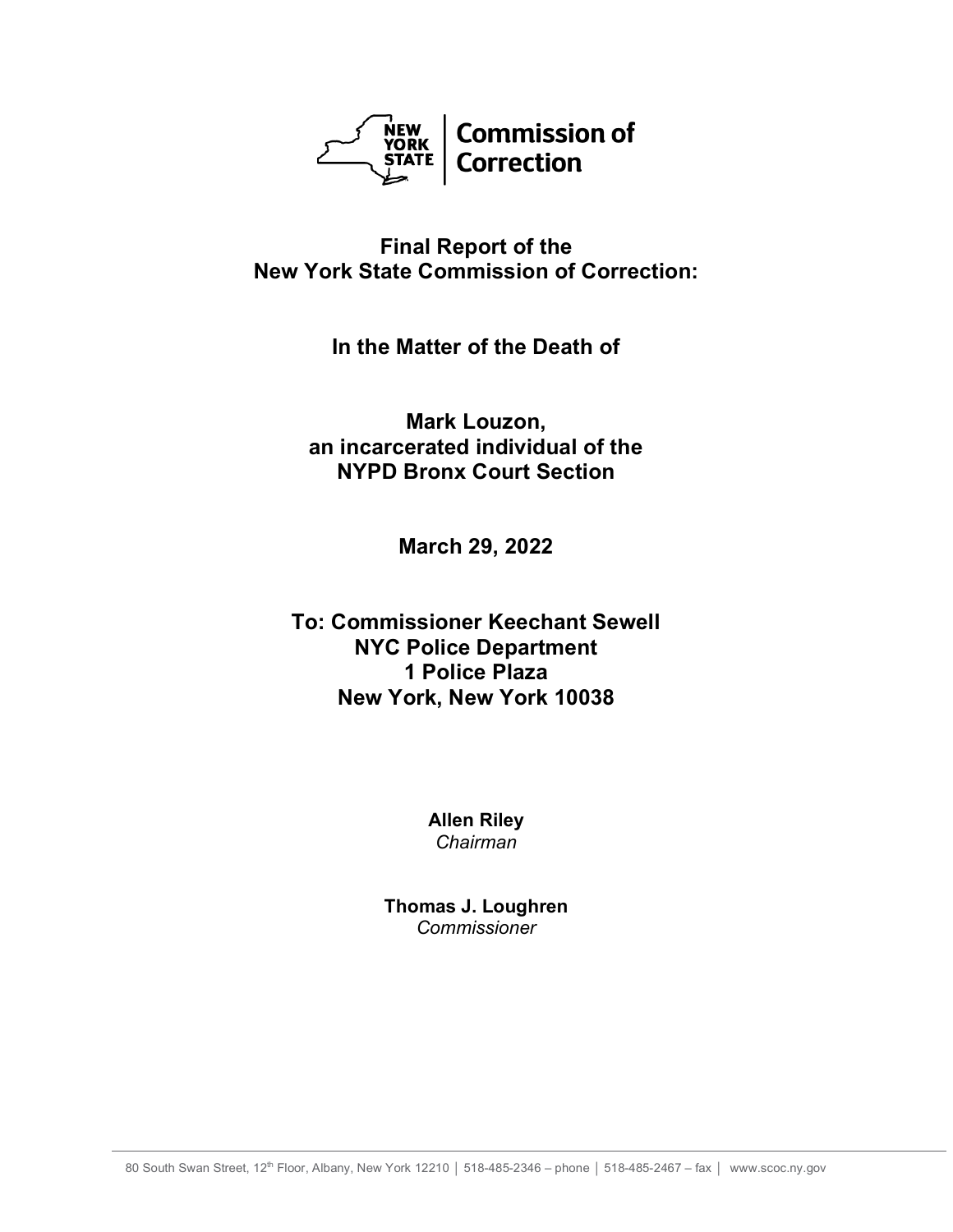

# **Final Report of the New York State Commission of Correction:**

**In the Matter of the Death of**

**Mark Louzon, an incarcerated individual of the NYPD Bronx Court Section**

**March 29, 2022**

# **To: Commissioner Keechant Sewell NYC Police Department 1 Police Plaza New York, New York 10038**

**Allen Riley** *Chairman*

**Thomas J. Loughren** *Commissioner*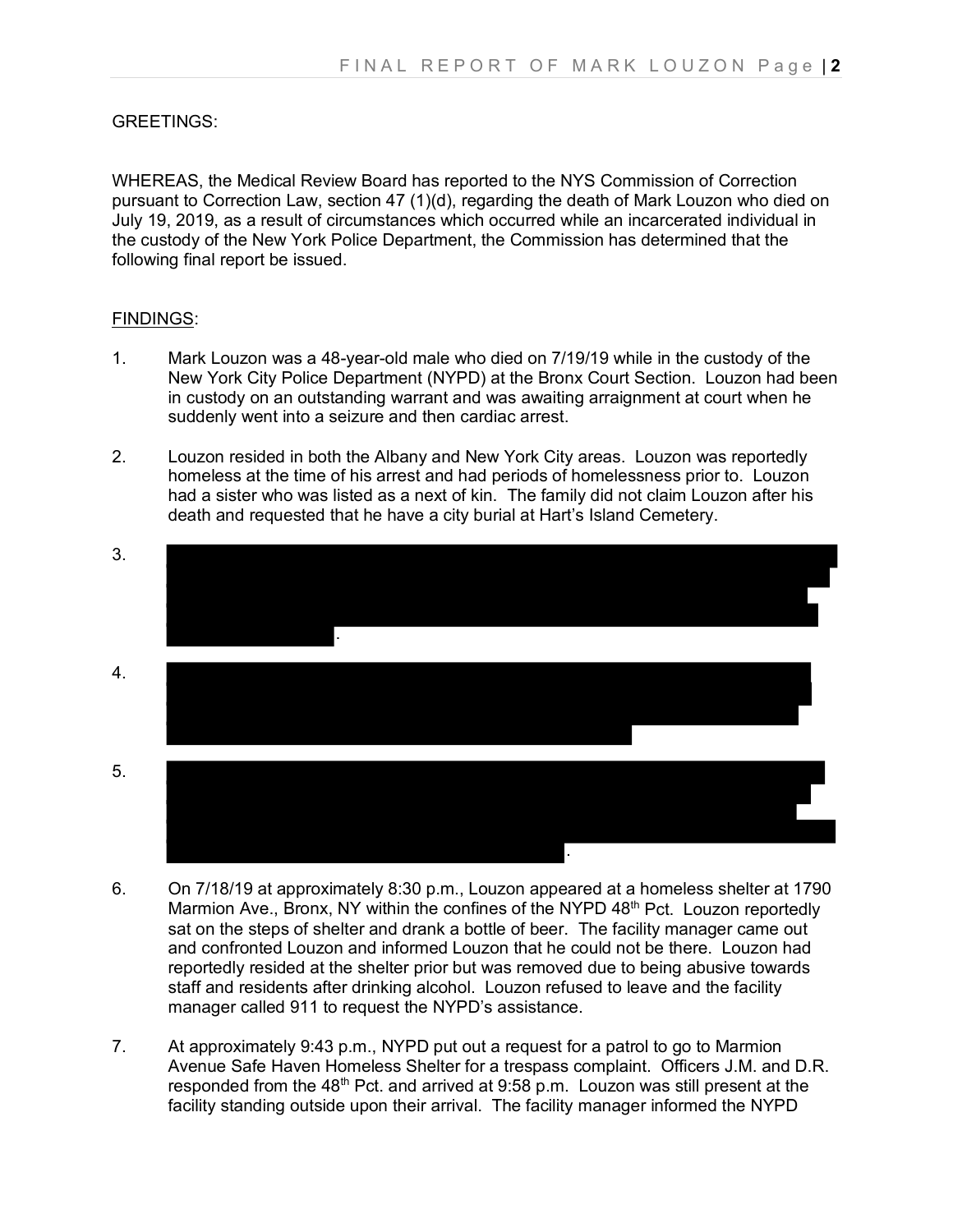## GREETINGS:

WHEREAS, the Medical Review Board has reported to the NYS Commission of Correction pursuant to Correction Law, section 47 (1)(d), regarding the death of Mark Louzon who died on July 19, 2019, as a result of circumstances which occurred while an incarcerated individual in the custody of the New York Police Department, the Commission has determined that the following final report be issued.

#### FINDINGS:

- 1. Mark Louzon was a 48-year-old male who died on 7/19/19 while in the custody of the New York City Police Department (NYPD) at the Bronx Court Section. Louzon had been in custody on an outstanding warrant and was awaiting arraignment at court when he suddenly went into a seizure and then cardiac arrest.
- 2. Louzon resided in both the Albany and New York City areas. Louzon was reportedly homeless at the time of his arrest and had periods of homelessness prior to. Louzon had a sister who was listed as a next of kin. The family did not claim Louzon after his death and requested that he have a city burial at Hart's Island Cemetery.



- 6. On 7/18/19 at approximately 8:30 p.m., Louzon appeared at a homeless shelter at 1790 Marmion Ave., Bronx, NY within the confines of the NYPD 48<sup>th</sup> Pct. Louzon reportedly sat on the steps of shelter and drank a bottle of beer. The facility manager came out and confronted Louzon and informed Louzon that he could not be there. Louzon had reportedly resided at the shelter prior but was removed due to being abusive towards staff and residents after drinking alcohol. Louzon refused to leave and the facility manager called 911 to request the NYPD's assistance.
- 7. At approximately 9:43 p.m., NYPD put out a request for a patrol to go to Marmion Avenue Safe Haven Homeless Shelter for a trespass complaint. Officers J.M. and D.R. responded from the  $48<sup>th</sup>$  Pct. and arrived at 9:58 p.m. Louzon was still present at the facility standing outside upon their arrival. The facility manager informed the NYPD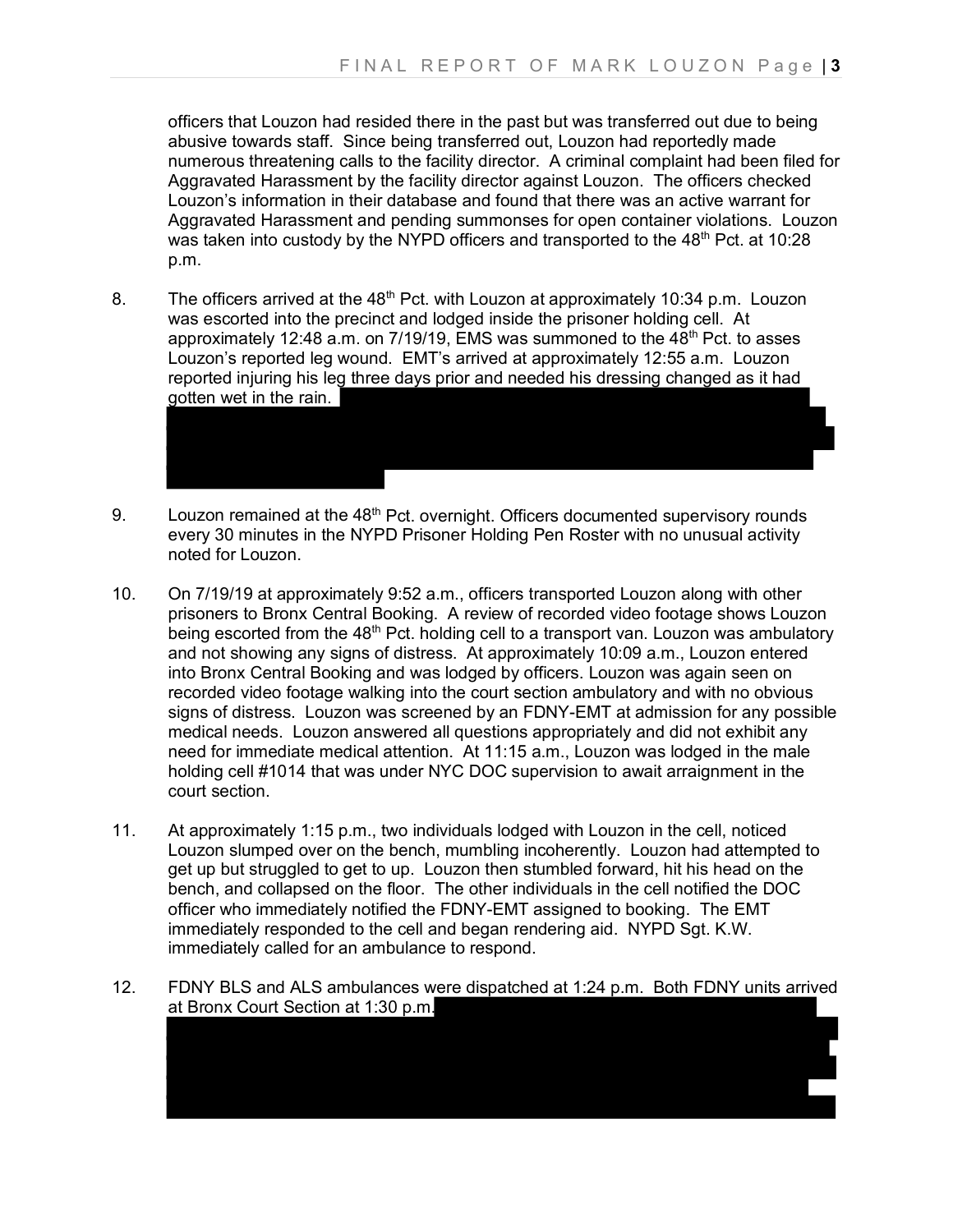officers that Louzon had resided there in the past but was transferred out due to being abusive towards staff. Since being transferred out, Louzon had reportedly made numerous threatening calls to the facility director. A criminal complaint had been filed for Aggravated Harassment by the facility director against Louzon. The officers checked Louzon's information in their database and found that there was an active warrant for Aggravated Harassment and pending summonses for open container violations. Louzon was taken into custody by the NYPD officers and transported to the 48<sup>th</sup> Pct. at 10:28 p.m.

- 8. The officers arrived at the  $48<sup>th</sup>$  Pct. with Louzon at approximately 10:34 p.m. Louzon was escorted into the precinct and lodged inside the prisoner holding cell. At approximately 12:48 a.m. on 7/19/19, EMS was summoned to the  $48<sup>th</sup>$  Pct. to asses Louzon's reported leg wound. EMT's arrived at approximately 12:55 a.m. Louzon reported injuring his leg three days prior and needed his dressing changed as it had gotten wet in the rain.
- 9. Louzon remained at the 48<sup>th</sup> Pct. overnight. Officers documented supervisory rounds every 30 minutes in the NYPD Prisoner Holding Pen Roster with no unusual activity noted for Louzon.
- 10. On 7/19/19 at approximately 9:52 a.m., officers transported Louzon along with other prisoners to Bronx Central Booking. A review of recorded video footage shows Louzon being escorted from the 48<sup>th</sup> Pct. holding cell to a transport van. Louzon was ambulatory and not showing any signs of distress. At approximately 10:09 a.m., Louzon entered into Bronx Central Booking and was lodged by officers. Louzon was again seen on recorded video footage walking into the court section ambulatory and with no obvious signs of distress. Louzon was screened by an FDNY-EMT at admission for any possible medical needs. Louzon answered all questions appropriately and did not exhibit any need for immediate medical attention. At 11:15 a.m., Louzon was lodged in the male holding cell #1014 that was under NYC DOC supervision to await arraignment in the court section.
- 11. At approximately 1:15 p.m., two individuals lodged with Louzon in the cell, noticed Louzon slumped over on the bench, mumbling incoherently. Louzon had attempted to get up but struggled to get to up. Louzon then stumbled forward, hit his head on the bench, and collapsed on the floor. The other individuals in the cell notified the DOC officer who immediately notified the FDNY-EMT assigned to booking. The EMT immediately responded to the cell and began rendering aid. NYPD Sgt. K.W. immediately called for an ambulance to respond.
- 12. FDNY BLS and ALS ambulances were dispatched at 1:24 p.m. Both FDNY units arrived at Bronx Court Section at 1:30 p.m.